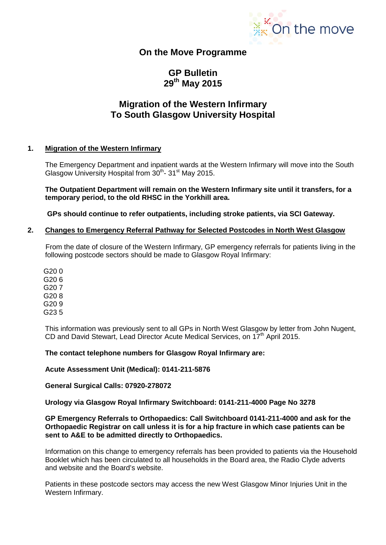

## **On the Move Programme**

## **GP Bulletin 29th May 2015**

# **Migration of the Western Infirmary To South Glasgow University Hospital**

### **1. Migration of the Western Infirmary**

The Emergency Department and inpatient wards at the Western Infirmary will move into the South Glasgow University Hospital from  $30<sup>th</sup>$ - 31<sup>st</sup> May 2015.

**The Outpatient Department will remain on the Western Infirmary site until it transfers, for a temporary period, to the old RHSC in the Yorkhill area.**

**GPs should continue to refer outpatients, including stroke patients, via SCI Gateway.**

#### **2. Changes to Emergency Referral Pathway for Selected Postcodes in North West Glasgow**

 From the date of closure of the Western Infirmary, GP emergency referrals for patients living in the following postcode sectors should be made to Glasgow Royal Infirmary:

 G20 0 G20 6 G20 7 G20 8 G20 9 G23 5

This information was previously sent to all GPs in North West Glasgow by letter from John Nugent, CD and David Stewart, Lead Director Acute Medical Services, on 17<sup>th</sup> April 2015.

#### **The contact telephone numbers for Glasgow Royal Infirmary are:**

**Acute Assessment Unit (Medical): 0141-211-5876**

**General Surgical Calls: 07920-278072**

**Urology via Glasgow Royal Infirmary Switchboard: 0141-211-4000 Page No 3278**

#### **GP Emergency Referrals to Orthopaedics: Call Switchboard 0141-211-4000 and ask for the Orthopaedic Registrar on call unless it is for a hip fracture in which case patients can be sent to A&E to be admitted directly to Orthopaedics.**

Information on this change to emergency referrals has been provided to patients via the Household Booklet which has been circulated to all households in the Board area, the Radio Clyde adverts and website and the Board's website.

Patients in these postcode sectors may access the new West Glasgow Minor Injuries Unit in the Western Infirmary.